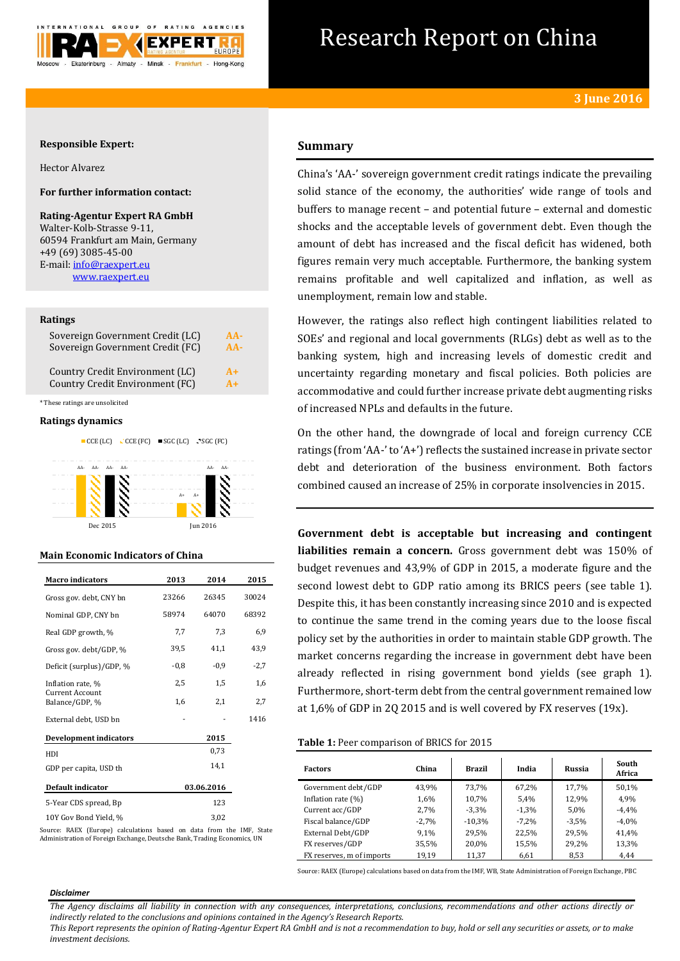

# Research Report on China

## **Responsible Expert:**

Hector Alvarez

# **For further information contact:**

**Rating-Agentur Expert RA GmbH** Walter-Kolb-Strasse 9-11, 60594 Frankfurt am Main, Germany +49 (69) 3085-45-00 E-mail[: info@raexpert.eu](mailto:info@raexpert.eu) [www.raexpert.eu](http://raexpert.eu/)

#### **Ratings**

| Sovereign Government Credit (LC) | $AA-$ |
|----------------------------------|-------|
| Sovereign Government Credit (FC) | $AA-$ |
| Country Credit Environment (LC)  | $A+$  |
| Country Credit Environment (FC)  | $A+$  |

\* These ratings are unsolicited

#### **Ratings dynamics**



#### **Main Economic Indicators of China**

| <b>Macro</b> indicators           | 2013   | 2014       |        |  |
|-----------------------------------|--------|------------|--------|--|
| Gross gov. debt, CNY bn           | 23266  | 26345      |        |  |
| Nominal GDP, CNY bn               | 58974  | 64070      | 68392  |  |
| Real GDP growth, %                | 7,7    | 7,3        | 6,9    |  |
| Gross gov. debt/GDP, %            | 39.5   | 41.1       | 43,9   |  |
| Deficit (surplus)/GDP, %          | $-0.8$ | $-0,9$     | $-2,7$ |  |
| Inflation rate, %                 | 2,5    | 1,5        | 1,6    |  |
| Current Account<br>Balance/GDP, % | 1,6    | 2,1        | 2,7    |  |
| External debt, USD bn             |        |            | 1416   |  |
| <b>Development indicators</b>     |        | 2015       |        |  |
| HDI                               |        | 0,73       |        |  |
| GDP per capita, USD th            |        | 14,1       |        |  |
| Default indicator                 |        | 03.06.2016 |        |  |
| 5-Year CDS spread, Bp             |        |            |        |  |
| 10Y Gov Bond Yield, %             |        | 3,02       |        |  |

Source: RAEX (Europe) calculations based on data from the IMF, State Administration of Foreign Exchange, Deutsche Bank, Trading Economics, UN

# **Summary**

China's 'AA-' sovereign government credit ratings indicate the prevailing solid stance of the economy, the authorities' wide range of tools and buffers to manage recent – and potential future – external and domestic shocks and the acceptable levels of government debt. Even though the amount of debt has increased and the fiscal deficit has widened, both figures remain very much acceptable. Furthermore, the banking system remains profitable and well capitalized and inflation, as well as unemployment, remain low and stable.

However, the ratings also reflect high contingent liabilities related to SOEs' and regional and local governments (RLGs) debt as well as to the banking system, high and increasing levels of domestic credit and uncertainty regarding monetary and fiscal policies. Both policies are accommodative and could further increase private debt augmenting risks of increased NPLs and defaults in the future.

On the other hand, the downgrade of local and foreign currency CCE ratings (from 'AA-' to 'A+') reflects the sustained increase in private sector debt and deterioration of the business environment. Both factors combined caused an increase of 25% in corporate insolvencies in 2015.

**Government debt is acceptable but increasing and contingent liabilities remain a concern.** Gross government debt was 150% of budget revenues and 43,9% of GDP in 2015, a moderate figure and the second lowest debt to GDP ratio among its BRICS peers (see table 1). Despite this, it has been constantly increasing since 2010 and is expected to continue the same trend in the coming years due to the loose fiscal policy set by the authorities in order to maintain stable GDP growth. The market concerns regarding the increase in government debt have been already reflected in rising government bond yields (see graph 1). Furthermore, short-term debt from the central government remained low at 1,6% of GDP in 2Q 2015 and is well covered by FX reserves (19x).

## **Table 1:** Peer comparison of BRICS for 2015

| <b>Factors</b>            | China   | <b>Brazil</b> | India   | Russia  | South<br>Africa |
|---------------------------|---------|---------------|---------|---------|-----------------|
| Government debt/GDP       | 43,9%   | 73.7%         | 67.2%   | 17.7%   | 50,1%           |
| Inflation rate $(\%)$     | 1,6%    | 10,7%         | 5,4%    | 12,9%   | 4,9%            |
| Current acc/GDP           | 2,7%    | $-3.3%$       | $-1.3%$ | 5,0%    | $-4.4%$         |
| Fiscal balance/GDP        | $-2,7%$ | $-10,3%$      | $-7.2%$ | $-3,5%$ | $-4,0%$         |
| External Debt/GDP         | 9,1%    | 29,5%         | 22,5%   | 29,5%   | 41,4%           |
| FX reserves/GDP           | 35,5%   | 20,0%         | 15,5%   | 29,2%   | 13,3%           |
| FX reserves, m of imports | 19,19   | 11,37         | 6,61    | 8,53    | 4,44            |

Source: RAEX (Europe) calculations based on data from the IMF, WB, State Administration of Foreign Exchange, PBC

#### *Disclaimer*

*The Agency disclaims all liability in connection with any consequences, interpretations, conclusions, recommendations and other actions directly or indirectly related to the conclusions and opinions contained in the Agency's Research Reports.*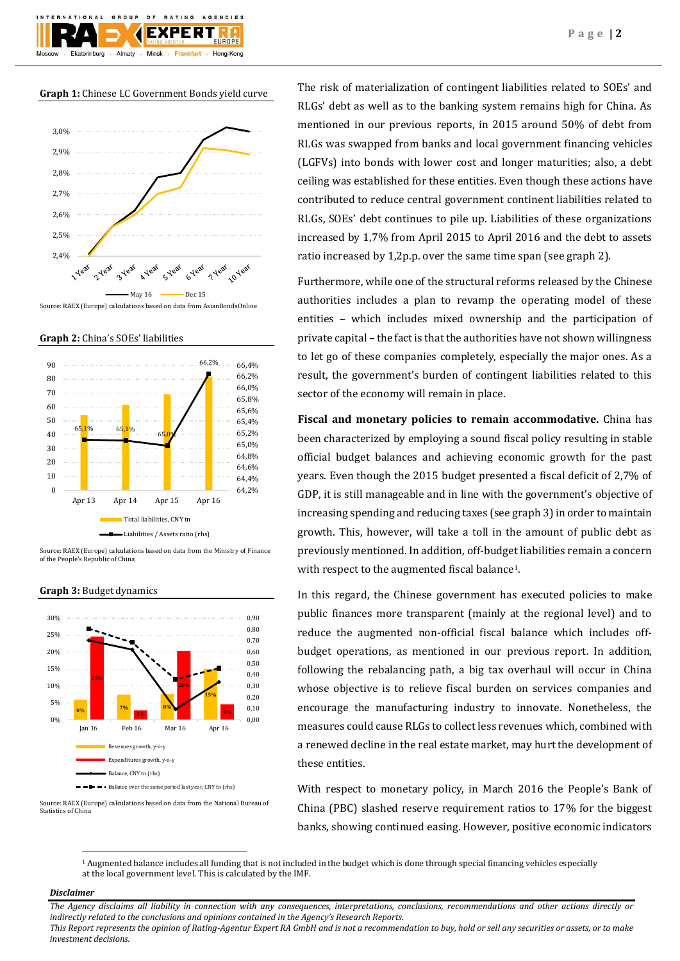**Graph 1:** Chinese LC Government Bonds yield curve



**Graph 2:** China's SOEs' liabilities



Source: RAEX (Europe) calculations based on data from the Ministry of Finance of the People's Republic of China



#### **Graph 3:** Budget dynamics

Source: RAEX (Europe) calculations based on data from the National Bureau of Statistics of China

The risk of materialization of contingent liabilities related to SOEs' and RLGs' debt as well as to the banking system remains high for China. As mentioned in our previous reports, in 2015 around 50% of debt from RLGs was swapped from banks and local government financing vehicles (LGFVs) into bonds with lower cost and longer maturities; also, a debt ceiling was established for these entities. Even though these actions have contributed to reduce central government continent liabilities related to RLGs, SOEs' debt continues to pile up. Liabilities of these organizations increased by 1,7% from April 2015 to April 2016 and the debt to assets ratio increased by 1,2p.p. over the same time span (see graph 2).

Furthermore, while one of the structural reforms released by the Chinese authorities includes a plan to revamp the operating model of these entities – which includes mixed ownership and the participation of private capital – the fact is that the authorities have not shown willingness to let go of these companies completely, especially the major ones. As a result, the government's burden of contingent liabilities related to this sector of the economy will remain in place.

**Fiscal and monetary policies to remain accommodative.** China has been characterized by employing a sound fiscal policy resulting in stable official budget balances and achieving economic growth for the past years. Even though the 2015 budget presented a fiscal deficit of 2,7% of GDP, it is still manageable and in line with the government's objective of increasing spending and reducing taxes (see graph 3) in order to maintain growth. This, however, will take a toll in the amount of public debt as previously mentioned. In addition, off-budget liabilities remain a concern with respect to the augmented fiscal balance<sup>1</sup>.

In this regard, the Chinese government has executed policies to make public finances more transparent (mainly at the regional level) and to reduce the augmented non-official fiscal balance which includes offbudget operations, as mentioned in our previous report. In addition, following the rebalancing path, a big tax overhaul will occur in China whose objective is to relieve fiscal burden on services companies and encourage the manufacturing industry to innovate. Nonetheless, the measures could cause RLGs to collect less revenues which, combined with a renewed decline in the real estate market, may hurt the development of these entities.

With respect to monetary policy, in March 2016 the People's Bank of China (PBC) slashed reserve requirement ratios to 17% for the biggest banks, showing continued easing. However, positive economic indicators

<sup>1</sup> Augmented balance includes all funding that is not included in the budget which is done through special financing vehicles especially at the local government level. This is calculated by the IMF.

## *Disclaimer*

 $\overline{a}$ 

*The Agency disclaims all liability in connection with any consequences, interpretations, conclusions, recommendations and other actions directly or indirectly related to the conclusions and opinions contained in the Agency's Research Reports.*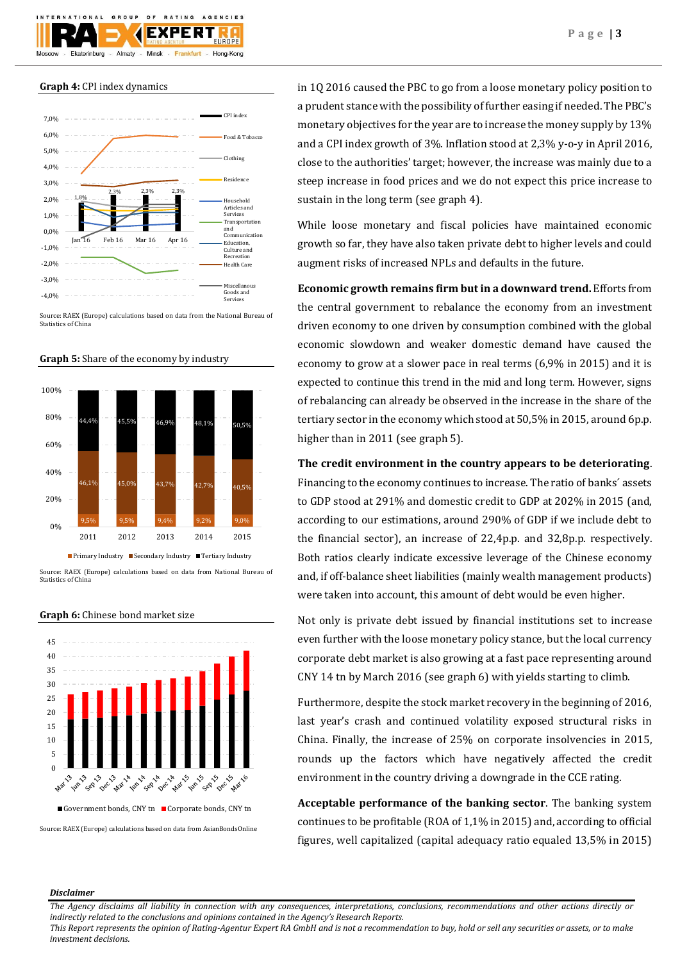

## **Graph 4:** CPI index dynamics



Source: RAEX (Europe) calculations based on data from the National Bureau of Statistics of China



**Graph 5:** Share of the economy by industry

Source: RAEX (Europe) calculations based on data from National Bureau of Statistics of China



#### **Graph 6:** Chinese bond market size

Source: RAEX (Europe) calculations based on data from AsianBondsOnline

in 1Q 2016 caused the PBC to go from a loose monetary policy position to a prudent stance with the possibility of further easing if needed. The PBC's monetary objectives for the year are to increase the money supply by 13% and a CPI index growth of 3%. Inflation stood at 2,3% y-o-y in April 2016, close to the authorities' target; however, the increase was mainly due to a steep increase in food prices and we do not expect this price increase to sustain in the long term (see graph 4).

While loose monetary and fiscal policies have maintained economic growth so far, they have also taken private debt to higher levels and could augment risks of increased NPLs and defaults in the future.

**Economic growth remains firm but in a downward trend.** Efforts from the central government to rebalance the economy from an investment driven economy to one driven by consumption combined with the global economic slowdown and weaker domestic demand have caused the economy to grow at a slower pace in real terms (6,9% in 2015) and it is expected to continue this trend in the mid and long term. However, signs of rebalancing can already be observed in the increase in the share of the tertiary sector in the economy which stood at 50,5% in 2015, around 6p.p. higher than in 2011 (see graph 5).

**The credit environment in the country appears to be deteriorating**. Financing to the economy continues to increase. The ratio of banks´ assets to GDP stood at 291% and domestic credit to GDP at 202% in 2015 (and, according to our estimations, around 290% of GDP if we include debt to the financial sector), an increase of 22,4p.p. and 32,8p.p. respectively. Both ratios clearly indicate excessive leverage of the Chinese economy and, if off-balance sheet liabilities (mainly wealth management products) were taken into account, this amount of debt would be even higher.

Not only is private debt issued by financial institutions set to increase even further with the loose monetary policy stance, but the local currency corporate debt market is also growing at a fast pace representing around CNY 14 tn by March 2016 (see graph 6) with yields starting to climb.

Furthermore, despite the stock market recovery in the beginning of 2016, last year's crash and continued volatility exposed structural risks in China. Finally, the increase of 25% on corporate insolvencies in 2015, rounds up the factors which have negatively affected the credit environment in the country driving a downgrade in the CCE rating.

**Acceptable performance of the banking sector**. The banking system continues to be profitable (ROA of 1,1% in 2015) and, according to official figures, well capitalized (capital adequacy ratio equaled 13,5% in 2015)

#### *Disclaimer*

*The Agency disclaims all liability in connection with any consequences, interpretations, conclusions, recommendations and other actions directly or indirectly related to the conclusions and opinions contained in the Agency's Research Reports.*